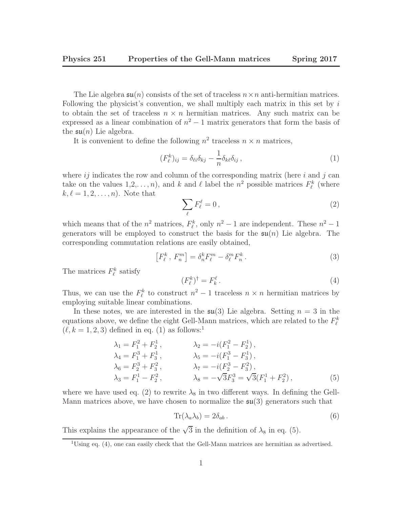The Lie algebra  $\mathfrak{su}(n)$  consists of the set of traceless  $n \times n$  anti-hermitian matrices. Following the physicist's convention, we shall multiply each matrix in this set by i to obtain the set of traceless  $n \times n$  hermitian matrices. Any such matrix can be expressed as a linear combination of  $n^2 - 1$  matrix generators that form the basis of the  $\mathfrak{su}(n)$  Lie algebra.

It is convenient to define the following  $n^2$  traceless  $n \times n$  matrices,

$$
(F_{\ell}^{k})_{ij} = \delta_{\ell i} \delta_{kj} - \frac{1}{n} \delta_{k\ell} \delta_{ij}, \qquad (1)
$$

where  $ij$  indicates the row and column of the corresponding matrix (here  $i$  and  $j$  can take on the values  $1, 2, \ldots, n$ , and k and l label the  $n^2$  possible matrices  $F_{\ell}^k$  (where  $k, \ell = 1, 2, \ldots, n$ . Note that

$$
\sum_{\ell} F_{\ell}^{\ell} = 0, \qquad (2)
$$

which means that of the  $n^2$  matrices,  $F_{\ell}^k$ , only  $n^2 - 1$  are independent. These  $n^2 - 1$ generators will be employed to construct the basis for the  $\mathfrak{su}(n)$  Lie algebra. The corresponding commutation relations are easily obtained,

$$
\left[F_{\ell}^{k}, F_{n}^{m}\right] = \delta_{n}^{k} F_{\ell}^{m} - \delta_{\ell}^{m} F_{n}^{k}.
$$
\n(3)

The matrices  $F_{\ell}^{k}$  satisfy

$$
(F_{\ell}^{k})^{\dagger} = F_{k}^{\ell}.
$$
\n<sup>(4)</sup>

Thus, we can use the  $F_{\ell}^{k}$  to construct  $n^{2} - 1$  traceless  $n \times n$  hermitian matrices by employing suitable linear combinations.

In these notes, we are interested in the  $\mathfrak{su}(3)$  Lie algebra. Setting  $n = 3$  in the equations above, we define the eight Gell-Mann matrices, which are related to the  $F_{\ell}^k$  $(\ell, k = 1, 2, 3)$  defined in eq. (1) as follows:<sup>1</sup>

$$
\lambda_1 = F_1^2 + F_2^1, \qquad \lambda_2 = -i(F_1^2 - F_2^1), \n\lambda_4 = F_1^3 + F_3^1, \qquad \lambda_5 = -i(F_1^3 - F_3^1), \n\lambda_6 = F_2^3 + F_3^2, \qquad \lambda_7 = -i(F_2^3 - F_3^2), \n\lambda_3 = F_1^1 - F_2^2, \qquad \lambda_8 = -\sqrt{3}F_3^3 = \sqrt{3}(F_1^1 + F_2^2),
$$
\n(5)

where we have used eq. (2) to rewrite  $\lambda_8$  in two different ways. In defining the Gell-Mann matrices above, we have chosen to normalize the  $\mathfrak{su}(3)$  generators such that

$$
\operatorname{Tr}(\lambda_a \lambda_b) = 2\delta_{ab} \,. \tag{6}
$$

This explains the appearance of the  $\sqrt{3}$  in the definition of  $\lambda_8$  in eq. (5).

 $1_{\text{Using eq. (4), one can easily check that the Gell-Mann matrices are hermitian as advertised.}$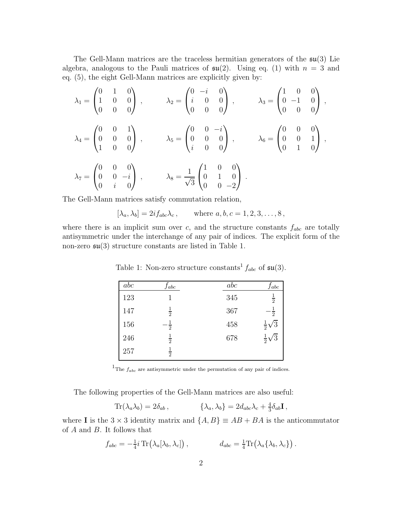The Gell-Mann matrices are the traceless hermitian generators of the  $\mathfrak{su}(3)$  Lie algebra, analogous to the Pauli matrices of  $\mathfrak{su}(2)$ . Using eq. (1) with  $n = 3$  and eq. (5), the eight Gell-Mann matrices are explicitly given by:

$$
\lambda_1 = \begin{pmatrix} 0 & 1 & 0 \\ 1 & 0 & 0 \\ 0 & 0 & 0 \end{pmatrix} , \qquad \lambda_2 = \begin{pmatrix} 0 & -i & 0 \\ i & 0 & 0 \\ 0 & 0 & 0 \end{pmatrix} , \qquad \lambda_3 = \begin{pmatrix} 1 & 0 & 0 \\ 0 & -1 & 0 \\ 0 & 0 & 0 \end{pmatrix} ,
$$

$$
\lambda_4 = \begin{pmatrix} 0 & 0 & 1 \\ 0 & 0 & 0 \\ 1 & 0 & 0 \end{pmatrix} , \qquad \lambda_5 = \begin{pmatrix} 0 & 0 & -i \\ 0 & 0 & 0 \\ i & 0 & 0 \end{pmatrix} , \qquad \lambda_6 = \begin{pmatrix} 0 & 0 & 0 \\ 0 & 0 & 1 \\ 0 & 1 & 0 \end{pmatrix} ,
$$

$$
\lambda_7 = \begin{pmatrix} 0 & 0 & 0 \\ 0 & 0 & -i \\ 0 & i & 0 \end{pmatrix} , \qquad \lambda_8 = \frac{1}{\sqrt{3}} \begin{pmatrix} 1 & 0 & 0 \\ 0 & 1 & 0 \\ 0 & 0 & -2 \end{pmatrix} .
$$

The Gell-Mann matrices satisfy commutation relation,

$$
[\lambda_a, \lambda_b] = 2if_{abc}\lambda_c, \quad \text{where } a, b, c = 1, 2, 3, \dots, 8,
$$

where there is an implicit sum over  $c$ , and the structure constants  $f_{abc}$  are totally antisymmetric under the interchange of any pair of indices. The explicit form of the non-zero  $\mathfrak{su}(3)$  structure constants are listed in Table 1.

| abc | Jabc          | abc | Jabc                             |
|-----|---------------|-----|----------------------------------|
| 123 |               | 345 | $\frac{1}{2}$                    |
| 147 | $\frac{1}{2}$ | 367 | $\overline{1}$<br>$\overline{2}$ |
| 156 | $\bar{2}$     | 458 | $rac{1}{2}\sqrt{3}$              |
| 246 | $\frac{1}{2}$ | 678 | $rac{1}{2}\sqrt{3}$              |
| 257 | $\frac{1}{2}$ |     |                                  |

Table 1: Non-zero structure constants<sup>1</sup>  $f_{abc}$  of  $\mathfrak{su}(3)$ .

<sup>1</sup>The  $f_{abc}$  are antisymmetric under the permutation of any pair of indices.

The following properties of the Gell-Mann matrices are also useful:

$$
\text{Tr}(\lambda_a \lambda_b) = 2\delta_{ab} ,\qquad \{ \lambda_a, \lambda_b \} = 2d_{abc}\lambda_c + \frac{4}{3}\delta_{ab} \mathbf{I} ,
$$

where **I** is the  $3 \times 3$  identity matrix and  $\{A, B\} \equiv AB + BA$  is the anticommutator of A and B. It follows that

$$
f_{abc} = -\frac{1}{4}i \operatorname{Tr}(\lambda_a[\lambda_b, \lambda_c]), \qquad d_{abc} = \frac{1}{4} \operatorname{Tr}(\lambda_a\{\lambda_b, \lambda_c\}) .
$$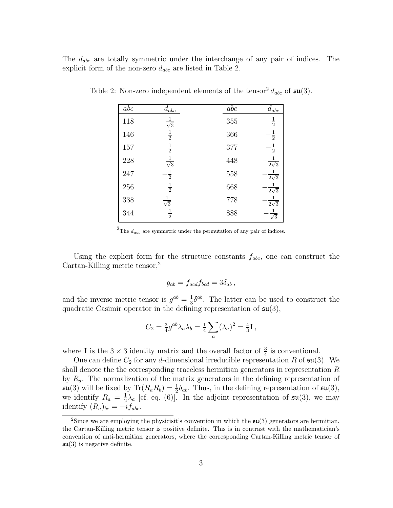The  $d_{abc}$  are totally symmetric under the interchange of any pair of indices. The explicit form of the non-zero  $d_{abc}$  are listed in Table 2.

| abc | $d_{abc}$            | abc | $d_{abc}$             |
|-----|----------------------|-----|-----------------------|
| 118 | $\frac{1}{\sqrt{3}}$ | 355 | $\frac{1}{2}$         |
| 146 | $\frac{1}{2}$        | 366 | $\frac{1}{2}$         |
| 157 | $\frac{1}{2}$        | 377 | $\frac{1}{2}$         |
| 228 | $\frac{1}{\sqrt{3}}$ | 448 | $2\sqrt{3}$           |
| 247 | $\frac{1}{2}$        | 558 | $\frac{1}{2\sqrt{3}}$ |
| 256 | $\frac{1}{2}$        | 668 | $\frac{1}{2\sqrt{3}}$ |
| 338 | $\frac{1}{\sqrt{3}}$ | 778 | $\frac{1}{2\sqrt{3}}$ |
| 344 | $\frac{1}{2}$        | 888 | $\sqrt{3}$            |

Table 2: Non-zero independent elements of the tensor<sup>2</sup>  $d_{abc}$  of  $\mathfrak{su}(3)$ .

<sup>2</sup>The  $d_{abc}$  are symmetric under the permutation of any pair of indices.

Using the explicit form for the structure constants  $f_{abc}$ , one can construct the Cartan-Killing metric tensor,<sup>2</sup>

$$
g_{ab} = f_{acd}f_{bcd} = 3\delta_{ab} ,
$$

and the inverse metric tensor is  $g^{ab} = \frac{1}{3}$  $\frac{1}{3} \delta^{ab}$ . The latter can be used to construct the quadratic Casimir operator in the defining representation of  $\mathfrak{su}(3)$ ,

$$
C_2 = \frac{3}{4}g^{ab}\lambda_a\lambda_b = \frac{1}{4}\sum_a(\lambda_a)^2 = \frac{4}{3}\mathbf{I},
$$

where **I** is the  $3 \times 3$  identity matrix and the overall factor of  $\frac{3}{4}$  is conventional.

One can define  $C_2$  for any d-dimensional irreducible representation R of  $\mathfrak{su}(3)$ . We shall denote the the corresponding traceless hermitian generators in representation R by  $R_a$ . The normalization of the matrix generators in the defining representation of  $\mathfrak{su}(3)$  will be fixed by  $\text{Tr}(R_a R_b) = \frac{1}{2} \delta_{ab}$ . Thus, in the defining representation of  $\mathfrak{su}(3)$ , we identify  $R_a = \frac{1}{2}$  $\frac{1}{2}\lambda_a$  [cf. eq. (6)]. In the adjoint representation of  $\mathfrak{su}(3)$ , we may identify  $(R_a)_{bc} = -i f_{abc}$ .

<sup>&</sup>lt;sup>2</sup>Since we are employing the physicisit's convention in which the  $\mathfrak{su}(3)$  generators are hermitian, the Cartan-Killing metric tensor is positive definite. This is in contrast with the mathematician's convention of anti-hermitian generators, where the corresponding Cartan-Killing metric tensor of  $\mathfrak{su}(3)$  is negative definite.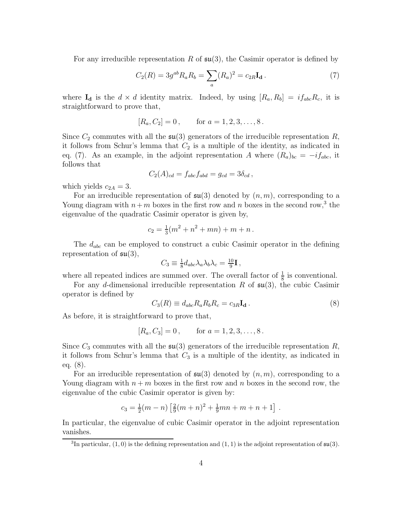For any irreducible representation R of  $\mathfrak{su}(3)$ , the Casimir operator is defined by

$$
C_2(R) = 3g^{ab}R_aR_b = \sum_a (R_a)^2 = c_{2R}\mathbf{I_d}.
$$
 (7)

where  $I_d$  is the  $d \times d$  identity matrix. Indeed, by using  $[R_a, R_b] = i f_{abc} R_c$ , it is straightforward to prove that,

$$
[R_a, C_2] = 0, \quad \text{for } a = 1, 2, 3, \dots, 8.
$$

Since  $C_2$  commutes with all the  $\mathfrak{su}(3)$  generators of the irreducible representation R, it follows from Schur's lemma that  $C_2$  is a multiple of the identity, as indicated in eq. (7). As an example, in the adjoint representation A where  $(R_a)_{bc} = -i f_{abc}$ , it follows that

$$
C_2(A)_{cd} = f_{abc}f_{abd} = g_{cd} = 3\delta_{cd},
$$

which yields  $c_{2A} = 3$ .

For an irreducible representation of  $\mathfrak{su}(3)$  denoted by  $(n, m)$ , corresponding to a Young diagram with  $n+m$  boxes in the first row and n boxes in the second row,<sup>3</sup> the eigenvalue of the quadratic Casimir operator is given by,

$$
c_2 = \frac{1}{3}(m^2 + n^2 + mn) + m + n.
$$

The  $d_{abc}$  can be employed to construct a cubic Casimir operator in the defining representation of  $\mathfrak{su}(3)$ ,

$$
C_3 \equiv \frac{1}{8} d_{abc} \lambda_a \lambda_b \lambda_c = \frac{10}{9} \mathbf{I},
$$

where all repeated indices are summed over. The overall factor of  $\frac{1}{8}$  is conventional.

For any d-dimensional irreducible representation R of  $\mathfrak{su}(3)$ , the cubic Casimir operator is defined by

$$
C_3(R) \equiv d_{abc} R_a R_b R_c = c_{3R} \mathbf{I_d} \,. \tag{8}
$$

As before, it is straightforward to prove that,

$$
[R_a, C_3] = 0, \quad \text{for } a = 1, 2, 3, \dots, 8.
$$

Since  $C_3$  commutes with all the  $\mathfrak{su}(3)$  generators of the irreducible representation R, it follows from Schur's lemma that  $C_3$  is a multiple of the identity, as indicated in eq. (8).

For an irreducible representation of  $\mathfrak{su}(3)$  denoted by  $(n, m)$ , corresponding to a Young diagram with  $n + m$  boxes in the first row and n boxes in the second row, the eigenvalue of the cubic Casimir operator is given by:

$$
c_3 = \frac{1}{2}(m-n)\left[\frac{2}{9}(m+n)^2 + \frac{1}{9}mn + m + n + 1\right].
$$

In particular, the eigenvalue of cubic Casimir operator in the adjoint representation vanishes.

<sup>&</sup>lt;sup>3</sup>In particular,  $(1, 0)$  is the defining representation and  $(1, 1)$  is the adjoint representation of  $\mathfrak{su}(3)$ .